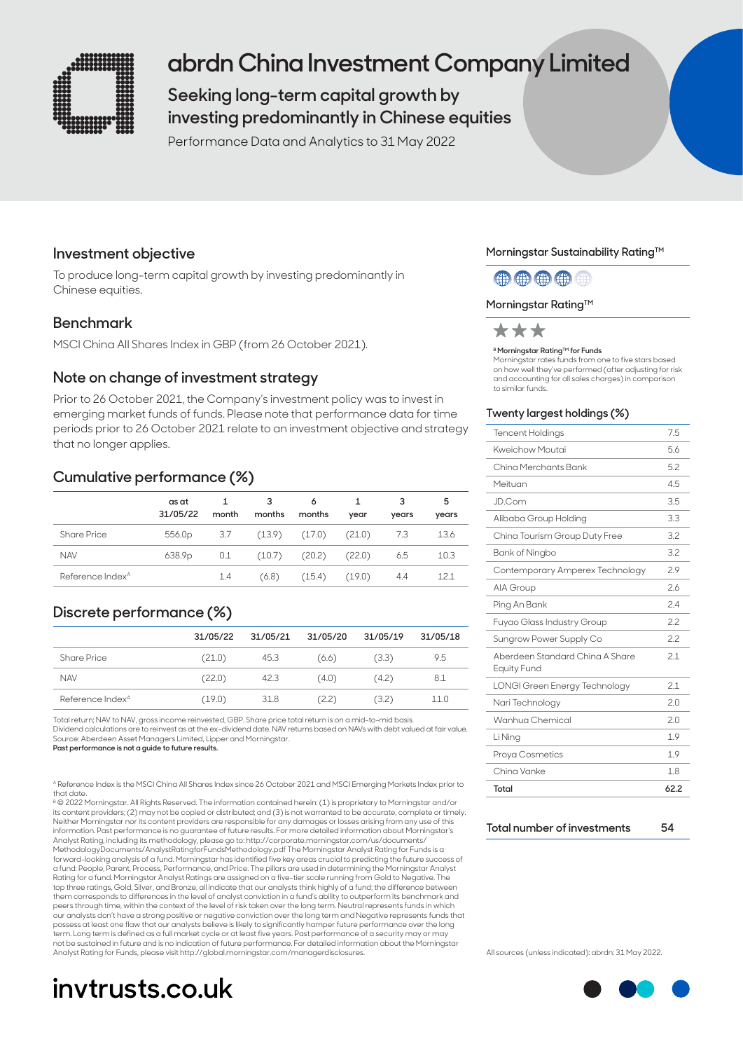

# **abrdn China Investment Company Limited**

## **Seeking long-term capital growth by investing predominantly in Chinese equities**

Performance Data and Analytics to 31 May 2022

## **Investment objective**

To produce long-term capital growth by investing predominantly in Chinese equities.

### **Benchmark**

MSCI China All Shares Index in GBP (from 26 October 2021).

### **Note on change of investment strategy**

Prior to 26 October 2021, the Company's investment policy was to invest in emerging market funds of funds. Please note that performance data for time periods prior to 26 October 2021 relate to an investment objective and strategy that no longer applies.

### **Cumulative performance (%)**

|                              | as at<br>31/05/22  | month | 3<br>months | 6<br>months       | year   | 3<br>years | 5<br>years |
|------------------------------|--------------------|-------|-------------|-------------------|--------|------------|------------|
| Share Price                  | 556.0 <sub>p</sub> | 3.7   |             | $(13.9)$ $(17.0)$ | (21.0) | -7.3       | 13.6       |
| <b>NAV</b>                   | 638.9p             | 0.1   | (10.7)      | (20.2)            | (22.0) | 6.5        | 10.3       |
| Reference Index <sup>A</sup> |                    | 1.4   | (6.8)       | (15.4)            | (19.0) | 4.4        | 12.1       |

## **Discrete performance (%)**

|                              | 31/05/22 | 31/05/21 | 31/05/20 | 31/05/19 | 31/05/18 |
|------------------------------|----------|----------|----------|----------|----------|
| <b>Share Price</b>           | (21.0)   | 45.3     | (6.6)    | (3.3)    | 9.5      |
| <b>NAV</b>                   | (22.0)   | 42.3     | (4.0)    | (4.2)    | 8.1      |
| Reference Index <sup>A</sup> | (19.0)   | 31.8     | (2.2)    | (3.2)    | 11.0     |

Total return; NAV to NAV, gross income reinvested, GBP. Share price total return is on a mid-to-mid basis. Dividend calculations are to reinvest as at the ex-dividend date. NAV returns based on NAVs with debt valued at fair value. Source: Aberdeen Asset Managers Limited, Lipper and Morningstar.

**Past performance is not a guide to future results.**

A Reference Index is the MSCI China All Shares Index since 26 October 2021 and MSCI Emerging Markets Index prior to that date.

B © 2022 Morningstar. All Rights Reserved. The information contained herein: (1) is proprietary to Morningstar and/or its content providers; (2) may not be copied or distributed; and (3) is not warranted to be accurate, complete or timely. Neither Morningstar nor its content providers are responsible for any damages or losses arising from any use of this<br>information. Past performance is no guarantee of future results. For more detailed information about Morn Analyst Rating, including its methodology, please go to: http://corporate.morningstar.com/us/documents/ MethodologyDocuments/AnalystRatingforFundsMethodology.pdf The Morningstar Analyst Rating for Funds is a forward-looking analysis of a fund. Morningstar has identified five key areas crucial to predicting the future success of a fund: People, Parent, Process, Performance, and Price. The pillars are used in determining the Morningstar Analyst Rating for a fund. Morningstar Analyst Ratings are assigned on a five-tier scale running from Gold to Negative. The<br>top three ratings, Gold, Silver, and Bronze, all indicate that our analysts think highly of a fund; the di them corresponds to differences in the level of analyst conviction in a fund's ability to outperform its benchmark and peers through time, within the context of the level of risk taken over the long term. Neutral represents funds in which our analysts don't have a strong positive or negative conviction over the long term and Negative represents funds that<br>possess at least one flaw that our analysts believe is likely to significantly hamper future performanc term. Long term is defined as a full market cycle or at least five years. Past performance of a security may or may<br>not be sustained in future and is no indication of future performance. For detailed information about the Analyst Rating for Funds, please visit http://global.morningstar.com/managerdisclosures.

# **invtrusts.co.uk**

#### **Morningstar Sustainability Rating™**

(第) (第) (第) (第)

#### **Morningstar Rating™**



#### **B Morningstar Rating™ for Funds**

Morningstar rates funds from one to five stars based on how well they've performed (after adjusting for risk and accounting for all sales charges) in comparison to similar funds.

#### **Twenty largest holdings (%)**

| <b>Tencent Holdings</b>                               | 7.5  |
|-------------------------------------------------------|------|
| Kweichow Moutai                                       | 5.6  |
| China Merchants Bank                                  | 5.2  |
| Meituan                                               | 45   |
| JD.Com                                                | 3.5  |
| Alibaba Group Holding                                 | 3.3  |
| China Tourism Group Duty Free                         | 32   |
| Bank of Ningbo                                        | 3.2  |
| Contemporary Amperex Technology                       | 29   |
| AIA Group                                             | 26   |
| Ping An Bank                                          | 2.4  |
| Fuyao Glass Industry Group                            | 22   |
| Sungrow Power Supply Co                               | 22   |
| Aberdeen Standard China A Share<br><b>Equity Fund</b> | 2.1  |
| <b>LONGI Green Energy Technology</b>                  | 2.1  |
| Nari Technology                                       | 2.0  |
| Wanhua Chemical                                       | 20   |
| Li Ning                                               | 1.9  |
| Proya Cosmetics                                       | 1.9  |
| China Vanke                                           | 18   |
| Total                                                 | 62.2 |

| Total number of investments | 54 |
|-----------------------------|----|
|                             |    |

All sources (unless indicated): abrdn: 31 May 2022.

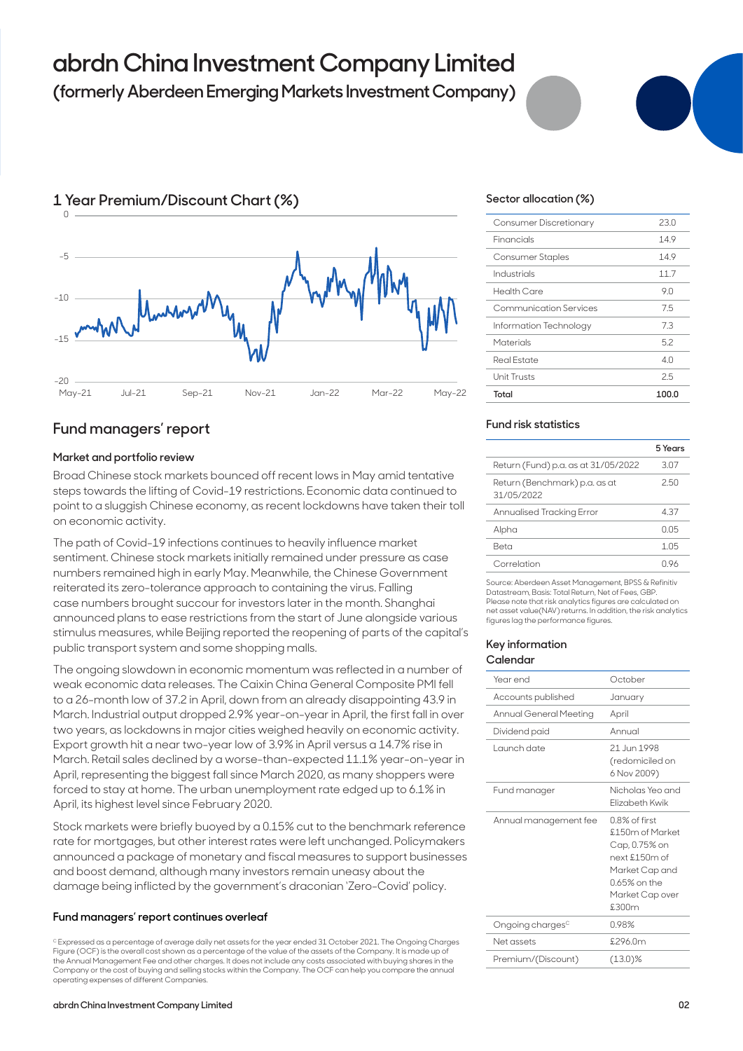# **abrdn China Investment Company Limited**

## **(formerly Aberdeen Emerging Markets Investment Company)**



## **Fund managers' report**

#### **Market and portfolio review**

Broad Chinese stock markets bounced off recent lows in May amid tentative steps towards the lifting of Covid-19 restrictions. Economic data continued to point to a sluggish Chinese economy, as recent lockdowns have taken their toll on economic activity.

The path of Covid-19 infections continues to heavily influence market sentiment. Chinese stock markets initially remained under pressure as case numbers remained high in early May. Meanwhile, the Chinese Government reiterated its zero-tolerance approach to containing the virus. Falling case numbers brought succour for investors later in the month. Shanghai announced plans to ease restrictions from the start of June alongside various stimulus measures, while Beijing reported the reopening of parts of the capital's public transport system and some shopping malls.

The ongoing slowdown in economic momentum was reflected in a number of weak economic data releases. The Caixin China General Composite PMI fell to a 26-month low of 37.2 in April, down from an already disappointing 43.9 in March. Industrial output dropped 2.9% year-on-year in April, the first fall in over two years, as lockdowns in major cities weighed heavily on economic activity. Export growth hit a near two-year low of 3.9% in April versus a 14.7% rise in March. Retail sales declined by a worse-than-expected 11.1% year-on-year in April, representing the biggest fall since March 2020, as many shoppers were forced to stay at home. The urban unemployment rate edged up to 6.1% in April, its highest level since February 2020.

Stock markets were briefly buoyed by a 0.15% cut to the benchmark reference rate for mortgages, but other interest rates were left unchanged. Policymakers announced a package of monetary and fiscal measures to support businesses and boost demand, although many investors remain uneasy about the damage being inflicted by the government's draconian 'Zero-Covid' policy.

#### **Fund managers' report continues overleaf**

C Expressed as a percentage of average daily net assets for the year ended 31 October 2021. The Ongoing Charges Figure (OCF) is the overall cost shown as a percentage of the value of the assets of the Company. It is made up of the Annual Management Fee and other charges. It does not include any costs associated with buying shares in the Company or the cost of buying and selling stocks within the Company. The OCF can help you compare the annual operating expenses of different Compan

#### **abrdn China Investment Company Limited**

#### **Sector allocation (%)**

| Consumer Discretionary | 23.0  |
|------------------------|-------|
| Financials             | 14.9  |
| Consumer Staples       | 149   |
| Industrials            | 11.7  |
| <b>Health Care</b>     | 9.0   |
| Communication Services | 7.5   |
| Information Technology | 73    |
| Materials              | 52    |
| <b>Real Estate</b>     | 40    |
| Unit Trusts            | 25    |
| Total                  | 100.0 |

#### **Fund risk statistics**

|                                             | 5 Years |
|---------------------------------------------|---------|
| Return (Fund) p.a. as at 31/05/2022         | 307     |
| Return (Benchmark) p.a. as at<br>31/05/2022 | 250     |
| Annualised Tracking Error                   | 4.37    |
| Alpha                                       | 0 O.5   |
| Reta                                        | 1 0.5   |
| Correlation                                 | በ 96    |

Source: Aberdeen Asset Management, BPSS & Refinitiv Datastream, Basis: Total Return, Net of Fees, GBP. Please note that risk analytics figures are calculated on net asset value(NAV) returns. In addition, the risk analytics figures lag the performance figures.

#### **Key information Calendar**

| Year end                     | October                                                                                                                          |
|------------------------------|----------------------------------------------------------------------------------------------------------------------------------|
| Accounts published           | January                                                                                                                          |
| Annual General Meeting       | April                                                                                                                            |
| Dividend paid                | Annual                                                                                                                           |
| Launch date                  | 21. Jun 1998<br>(redomiciled on<br>6 Nov 2009)                                                                                   |
| Fund manager                 | Nicholas Yeo and<br>Flizabeth Kwik                                                                                               |
| Annual management fee        | 0.8% of first<br>£150m of Market<br>Cap, 0.75% on<br>next £150m of<br>Market Cap and<br>0.65% on the<br>Market Cap over<br>£300m |
| Ongoing charges <sup>c</sup> | 0.98%                                                                                                                            |
| Net assets                   | £296.0m                                                                                                                          |
| Premium/(Discount)           | $(13.0)\%$                                                                                                                       |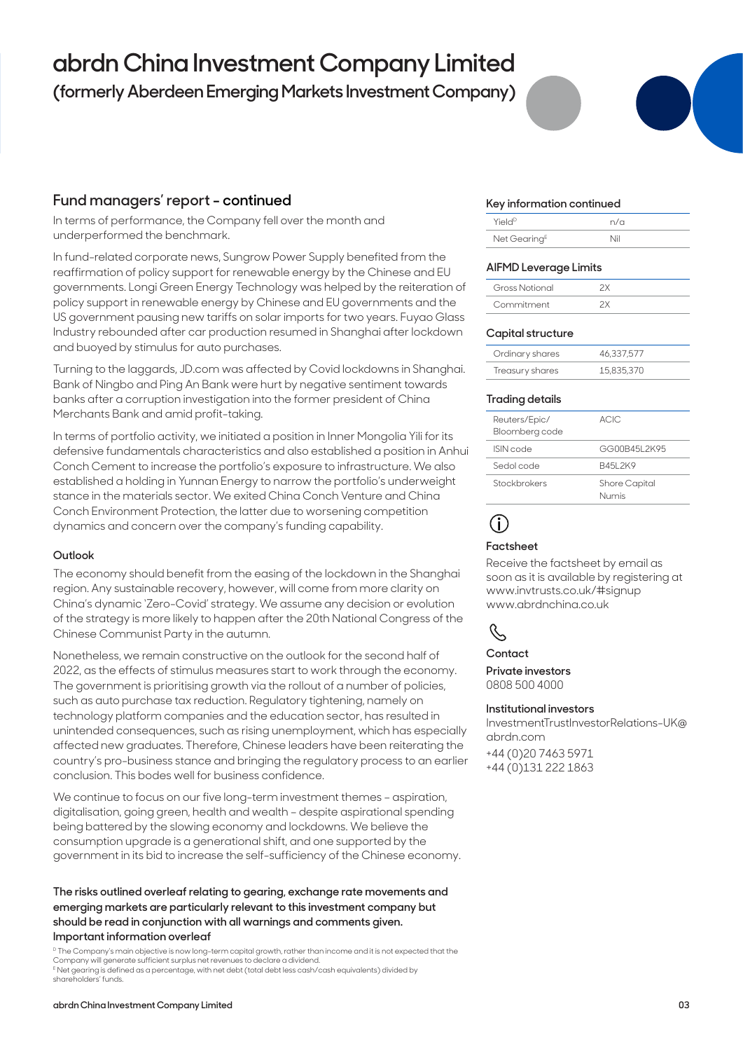# **abrdn China Investment Company Limited**

**(formerly Aberdeen Emerging Markets Investment Company)**

## **Fund managers' report - continued**

In terms of performance, the Company fell over the month and underperformed the benchmark.

In fund-related corporate news, Sungrow Power Supply benefited from the reaffirmation of policy support for renewable energy by the Chinese and EU governments. Longi Green Energy Technology was helped by the reiteration of policy support in renewable energy by Chinese and EU governments and the US government pausing new tariffs on solar imports for two years. Fuyao Glass Industry rebounded after car production resumed in Shanghai after lockdown and buoyed by stimulus for auto purchases.

Turning to the laggards, JD.com was affected by Covid lockdowns in Shanghai. Bank of Ningbo and Ping An Bank were hurt by negative sentiment towards banks after a corruption investigation into the former president of China Merchants Bank and amid profit-taking.

In terms of portfolio activity, we initiated a position in Inner Mongolia Yili for its defensive fundamentals characteristics and also established a position in Anhui Conch Cement to increase the portfolio's exposure to infrastructure. We also established a holding in Yunnan Energy to narrow the portfolio's underweight stance in the materials sector. We exited China Conch Venture and China Conch Environment Protection, the latter due to worsening competition dynamics and concern over the company's funding capability.

#### **Outlook**

The economy should benefit from the easing of the lockdown in the Shanghai region. Any sustainable recovery, however, will come from more clarity on China's dynamic 'Zero-Covid' strategy. We assume any decision or evolution of the strategy is more likely to happen after the 20th National Congress of the Chinese Communist Party in the autumn.

Nonetheless, we remain constructive on the outlook for the second half of 2022, as the effects of stimulus measures start to work through the economy. The government is prioritising growth via the rollout of a number of policies, such as auto purchase tax reduction. Regulatory tightening, namely on technology platform companies and the education sector, has resulted in unintended consequences, such as rising unemployment, which has especially affected new graduates. Therefore, Chinese leaders have been reiterating the country's pro-business stance and bringing the regulatory process to an earlier conclusion. This bodes well for business confidence.

We continue to focus on our five long-term investment themes – aspiration, digitalisation, going green, health and wealth – despite aspirational spending being battered by the slowing economy and lockdowns. We believe the consumption upgrade is a generational shift, and one supported by the government in its bid to increase the self-sufficiency of the Chinese economy.

#### **The risks outlined overleaf relating to gearing, exchange rate movements and emerging markets are particularly relevant to this investment company but should be read in conjunction with all warnings and comments given. Important information overleaf**

<sup>D</sup> The Company's main objective is now long-term capital growth, rather than income and it is not expected that the Company will generate sufficient surplus net revenues to declare a dividend. E Net gearing is defined as a percentage, with net debt (total debt less cash/cash equivalents) divided by shareholders' funds.

#### **Key information continued**

| Yield <sup>D</sup>       | n/a |
|--------------------------|-----|
| Net Gearing <sup>E</sup> | Nil |

#### **AIFMD Leverage Limits**

| <b>Gross Notional</b> |  |
|-----------------------|--|
| Commitment            |  |

#### **Capital structure**

| Ordinary shares | 46.337.577 |
|-----------------|------------|
| Treasury shares | 15,835,370 |

#### **Trading details**

| Reuters/Epic/<br>Bloomberg code | ACIC.                  |
|---------------------------------|------------------------|
| <b>ISIN</b> code                | GG00B45L2K95           |
| Sedol code                      | B451 2K9               |
| Stockbrokers                    | Shore Capital<br>Numis |

## **i**

#### **Factsheet**

Receive the factsheet by email as soon as it is available by registering at www.invtrusts.co.uk/#signup www.abrdnchina.co.uk



## **Contact**

**Private investors**  0808 500 4000

#### **Institutional investors**

InvestmentTrustInvestorRelations-UK@ abrdn.com

+44 (0)20 7463 5971 +44 (0)131 222 1863